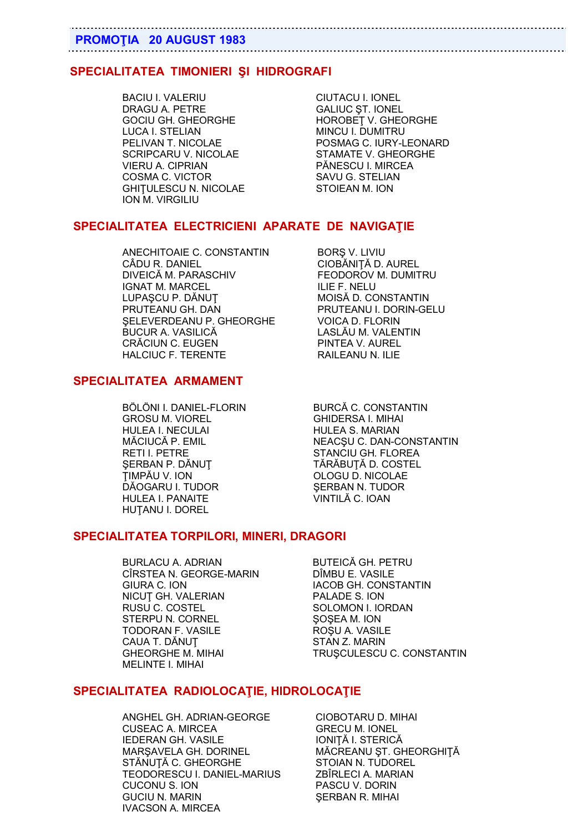# **PROMOŢIA 20 AUGUST 1983**

# **SPECIALITATEA TIMONIERI ŞI HIDROGRAFI**

BACIU I. VALERIU CIUTACU I. IONEL DRAGU A. PETRE GALIUC ȘT. IONEL LUCA I. STELIAN MINCU I. DUMITRU SCRIPCARU V. NICOLAE STAMATE V. GHEORGHE VIERU A. CIPRIAN PĂNESCU I. MIRCEA COSMA C. VICTOR<br>GHITULESCU N. NICOLAE STOIEAN M. ION **GHITULESCU N. NICOLAE** ION M. VIRGILIU

GOCIU GH. GHEORGHE **HOROBET V. GHEORGHE** PELIVAN T. NICOLAE POSMAG C. IURY-LEONARD

# **SPECIALITATEA ELECTRICIENI APARATE DE NAVIGAŢIE**

ANECHITOAIE C. CONSTANTIN BORS V. LIVIU CÂDU R. DANIEL CIOBĂNIŢĂ D. AUREL IGNAT M. MARCEL LUPASCU P. DĂNUT MOISĂ D. CONSTANTIN PRUTEANU GH. DAN PRUTEANU I. DORIN-GELU ŞELEVERDEANU P. GHEORGHE VOICA D. FLORIN BUCUR A. VASILICĂ CRĂCIUN C. EUGEN PINTEA V. AUREL HALCIUC F. TERENTE RAILEANU N. ILIE

# **SPECIALITATEA ARMAMENT**

GROSU M. VIOREL GHIDERSA I. MIHAI HULEA I. NECULAI GALAM HULEA S. MARIAN RETI I. PETRE STANCIU GH. FLOREA SERBAN P. DĂNUȚ TĂRĂBUȚĂ D. COSTEL ŢIMPĂU V. ION OLOGU D. NICOLAE DĂOGARU I. TUDOR HULEA I. PANAITE VINTILĂ C. IOAN HUTANU I. DOREL

FEODOROV M. DUMITRU<br>ILIE F. NELU

BÖLÖNI I. DANIEL-FLORIN BURCĂ C. CONSTANTIN MĂCIUCĂ P. EMIL NEACȘU C. DAN-CONSTANTIN

# **SPECIALITATEA TORPILORI, MINERI, DRAGORI**

BURLACU A. ADRIAN BUTEICĂ GH. PETRU CÎRSTEA N. GEORGE-MARIN DÎMBU E. VASILE GIURA C. ION IACOB GH. CONSTANTIN NICUT GH. VALERIAN PALADE S. ION RUSU C. COSTEL SOLOMON I. IORDAN STERPU N. CORNEL STERPU N. CORNEL TODORAN F. VASILE<br>CAUA T. DĂNUȚ CAUA STAN Z. MARIN MELINTE I. MIHAI

STAN Z. MARIN GHEORGHE M. MIHAI TRUȘCULESCU C. CONSTANTIN

#### **SPECIALITATEA RADIOLOCAŢIE, HIDROLOCAŢIE**

ANGHEL GH. ADRIAN-GEORGE CIOBOTARU D. MIHAI CUSEAC A. MIRCEA GRECU M. IONEL IEDERAN GH. VASILE IONIȚĂ I. STERICĂ MARSAVELA GH. DORINEL MĂCREANU ȘT. GHEORGHIȚĂ STĂNUTĂ C. GHEORGHE STOIAN N. TUDOREL TEODORESCU I. DANIEL-MARIUS ZBÎRLECI A. MARIAN CUCONU S. ION PASCU V. DORIN<br>GUCIU N. MARIN SERRAN R. MIHA IVACSON A. MIRCEA

SERBAN R. MIHAI